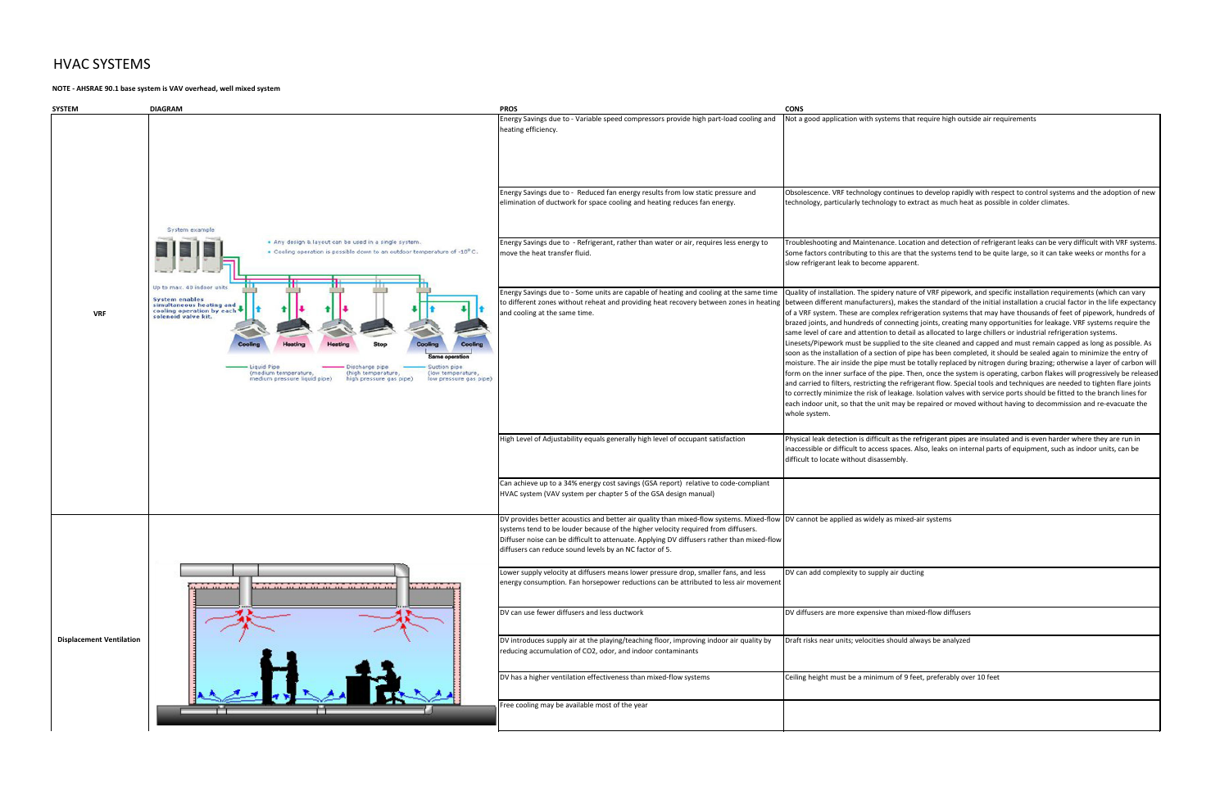## HVAC SYSTEMS

## **NOTE - AHSRAE 90.1 base system is VAV overhead, well mixed system**

|                                                                                                    | <b>CONS</b>                                                                                                                                                                                                                                                                                                                                                                                                                                                                                                                                                                                                                                                                                                                                                                                                                                                                                                                                                                                                                                                                                                                                                                                                                                                                                                                                                                                                                                                                                               |
|----------------------------------------------------------------------------------------------------|-----------------------------------------------------------------------------------------------------------------------------------------------------------------------------------------------------------------------------------------------------------------------------------------------------------------------------------------------------------------------------------------------------------------------------------------------------------------------------------------------------------------------------------------------------------------------------------------------------------------------------------------------------------------------------------------------------------------------------------------------------------------------------------------------------------------------------------------------------------------------------------------------------------------------------------------------------------------------------------------------------------------------------------------------------------------------------------------------------------------------------------------------------------------------------------------------------------------------------------------------------------------------------------------------------------------------------------------------------------------------------------------------------------------------------------------------------------------------------------------------------------|
| ressors provide high part-load cooling and                                                         | Not a good application with systems that require high outside air requirements                                                                                                                                                                                                                                                                                                                                                                                                                                                                                                                                                                                                                                                                                                                                                                                                                                                                                                                                                                                                                                                                                                                                                                                                                                                                                                                                                                                                                            |
| results from low static pressure and<br>d heating reduces fan energy.                              | Obsolescence. VRF technology continues to develop rapidly with respect to control systems and the adoption of new<br>technology, particularly technology to extract as much heat as possible in colder climates.                                                                                                                                                                                                                                                                                                                                                                                                                                                                                                                                                                                                                                                                                                                                                                                                                                                                                                                                                                                                                                                                                                                                                                                                                                                                                          |
| han water or air, requires less energy to                                                          | Troubleshooting and Maintenance. Location and detection of refrigerant leaks can be very difficult with VRF systems.<br>Some factors contributing to this are that the systems tend to be quite large, so it can take weeks or months for a<br>slow refrigerant leak to become apparent.                                                                                                                                                                                                                                                                                                                                                                                                                                                                                                                                                                                                                                                                                                                                                                                                                                                                                                                                                                                                                                                                                                                                                                                                                  |
| le of heating and cooling at the same time<br>ing heat recovery between zones in heating           | Quality of installation. The spidery nature of VRF pipework, and specific installation requirements (which can vary<br>between different manufacturers), makes the standard of the initial installation a crucial factor in the life expectancy<br>of a VRF system. These are complex refrigeration systems that may have thousands of feet of pipework, hundreds of<br>brazed joints, and hundreds of connecting joints, creating many opportunities for leakage. VRF systems require the<br>same level of care and attention to detail as allocated to large chillers or industrial refrigeration systems.<br>Linesets/Pipework must be supplied to the site cleaned and capped and must remain capped as long as possible. As<br>soon as the installation of a section of pipe has been completed, it should be sealed again to minimize the entry of<br>moisture. The air inside the pipe must be totally replaced by nitrogen during brazing; otherwise a layer of carbon will<br>form on the inner surface of the pipe. Then, once the system is operating, carbon flakes will progressively be released<br>and carried to filters, restricting the refrigerant flow. Special tools and techniques are needed to tighten flare joints<br>to correctly minimize the risk of leakage. Isolation valves with service ports should be fitted to the branch lines for<br>each indoor unit, so that the unit may be repaired or moved without having to decommission and re-evacuate the<br>whole system. |
| igh level of occupant satisfaction                                                                 | Physical leak detection is difficult as the refrigerant pipes are insulated and is even harder where they are run in<br>inaccessible or difficult to access spaces. Also, leaks on internal parts of equipment, such as indoor units, can be<br>difficult to locate without disassembly.                                                                                                                                                                                                                                                                                                                                                                                                                                                                                                                                                                                                                                                                                                                                                                                                                                                                                                                                                                                                                                                                                                                                                                                                                  |
| (GSA report) relative to code-compliant<br>he GSA design manual)                                   |                                                                                                                                                                                                                                                                                                                                                                                                                                                                                                                                                                                                                                                                                                                                                                                                                                                                                                                                                                                                                                                                                                                                                                                                                                                                                                                                                                                                                                                                                                           |
| her velocity required from diffusers.<br>pplying DV diffusers rather than mixed-flow<br>ctor of 5. | uality than mixed-flow systems. Mixed-flow  DV cannot be applied as widely as mixed-air systems                                                                                                                                                                                                                                                                                                                                                                                                                                                                                                                                                                                                                                                                                                                                                                                                                                                                                                                                                                                                                                                                                                                                                                                                                                                                                                                                                                                                           |
| er pressure drop, smaller fans, and less<br>ions can be attributed to less air movement            | DV can add complexity to supply air ducting                                                                                                                                                                                                                                                                                                                                                                                                                                                                                                                                                                                                                                                                                                                                                                                                                                                                                                                                                                                                                                                                                                                                                                                                                                                                                                                                                                                                                                                               |
|                                                                                                    | DV diffusers are more expensive than mixed-flow diffusers                                                                                                                                                                                                                                                                                                                                                                                                                                                                                                                                                                                                                                                                                                                                                                                                                                                                                                                                                                                                                                                                                                                                                                                                                                                                                                                                                                                                                                                 |
| ing floor, improving indoor air quality by<br>oor contaminants                                     | Draft risks near units; velocities should always be analyzed                                                                                                                                                                                                                                                                                                                                                                                                                                                                                                                                                                                                                                                                                                                                                                                                                                                                                                                                                                                                                                                                                                                                                                                                                                                                                                                                                                                                                                              |
| n mixed-flow systems                                                                               | Ceiling height must be a minimum of 9 feet, preferably over 10 feet                                                                                                                                                                                                                                                                                                                                                                                                                                                                                                                                                                                                                                                                                                                                                                                                                                                                                                                                                                                                                                                                                                                                                                                                                                                                                                                                                                                                                                       |
| ar                                                                                                 |                                                                                                                                                                                                                                                                                                                                                                                                                                                                                                                                                                                                                                                                                                                                                                                                                                                                                                                                                                                                                                                                                                                                                                                                                                                                                                                                                                                                                                                                                                           |